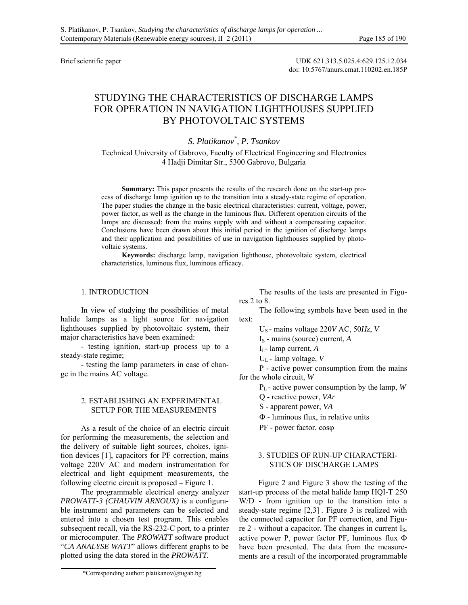Brief scientific paper UDK 621.313.5.025.4:629.125.12.034 doi: 10.5767/anurs.cmat.110202.en.185P

# STUDYING THE CHARACTERISTICS OF DISCHARGE LAMPS FOR OPERATION IN NAVIGATION LIGHTHOUSES SUPPLIED BY PHOTOVOLTAIC SYSTEMS

*S. Platikanov\* , P. Tsankov* 

Technical University of Gabrovo, Faculty of Electrical Engineering and Electronics 4 Hadji Dimitar Str., 5300 Gabrovo, Bulgaria

**Summary:** This paper presents the results of the research done on the start-up process of discharge lamp ignition up to the transition into a steady-state regime of operation. The paper studies the change in the basic electrical characteristics: current, voltage, power, power factor, as well as the change in the luminous flux. Different operation circuits of the lamps are discussed: from the mains supply with and without a compensating capacitor. Conclusions have been drawn about this initial period in the ignition of discharge lamps and their application and possibilities of use in navigation lighthouses supplied by photovoltaic systems.

**Keywords:** discharge lamp, navigation lighthouse, photovoltaic system, electrical characteristics, luminous flux, luminous efficacy.

# 1. INTRODUCTION

In view of studying the possibilities of metal halide lamps as a light source for navigation lighthouses supplied by photovoltaic system, their major characteristics have been examined:

- testing ignition, start-up process up to a steady-state regime;

- testing the lamp parameters in case of change in the mains AC voltage.

## 2. ESTABLISHING AN EXPERIMENTAL SETUP FOR THE MEASUREMENTS

As a result of the choice of an electric circuit for performing the measurements, the selection and the delivery of suitable light sources, chokes, ignition devices [1], capacitors for PF correction, mains voltage 220V AC and modern instrumentation for electrical and light equipment measurements, the following electric circuit is proposed – Figure 1.

The programmable electrical energy analyzer *PROWATT-3 (CHAUVIN ARNOUX)* is a configurable instrument and parameters can be selected and entered into a chosen test program. This enables subsequent recall, via the RS-232-C port, to a printer or microcomputer. The *PROWATT* software product "*CA ANALYSE WATT*" allows different graphs to be plotted using the data stored in the *PROWATT.*

The results of the tests are presented in Figures 2 to 8.

The following symbols have been used in the text:

US - mains voltage 220*V* AC, 50*Hz*, *V* 

- I<sub>S</sub> mains (source) current, *A*
- IL- lamp current, *A*
- UL lamp voltage, *V*

P - active power consumption from the mains for the whole circuit, *W*

PL - active power consumption by the lamp, *W*

Q - reactive power, *VAr*

- S apparent power, *VA*
- $\Phi$  luminous flux, in relative units
- PF power factor,  $cos\varphi$

## 3. STUDIES OF RUN-UP CHARACTERI-STICS OF DISCHARGE LAMPS

Figure 2 and Figure 3 show the testing of the start-up process of the metal halide lamp HQI-T 250 W/D - from ignition up to the transition into a steady-state regime [2,3] . Figure 3 is realized with the connected capacitor for PF correction, and Figure 2 - without a capacitor. The changes in current I<sub>S</sub>, active power P, power factor PF, luminous flux  $\Phi$ have been presented. The data from the measurements are a result of the incorporated programmable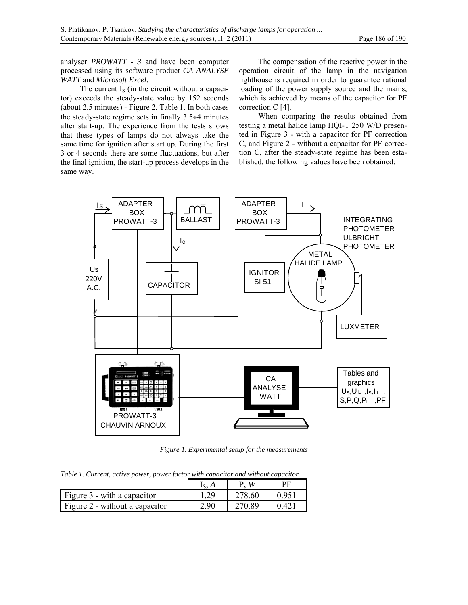analyser *PROWATT - 3* and have been computer processed using its software product *CA ANALYSE WATT* and *Microsoft Excel*.

The current  $I<sub>S</sub>$  (in the circuit without a capacitor) exceeds the steady-state value by 152 seconds (about 2.5 minutes) - Figure 2, Table 1. In both cases the steady-state regime sets in finally  $3.5\div 4$  minutes after start-up. The experience from the tests shows that these types of lamps do not always take the same time for ignition after start up. During the first 3 or 4 seconds there are some fluctuations, but after the final ignition, the start-up process develops in the same way.

The compensation of the reactive power in the operation circuit of the lamp in the navigation lighthouse is required in order to guarantee rational loading of the power supply source and the mains, which is achieved by means of the capacitor for PF correction C [4].

When comparing the results obtained from testing a metal halide lamp HQI-T 250 W/D presented in Figure 3 - with a capacitor for PF correction C, and Figure 2 - without a capacitor for PF correction C, after the steady-state regime has been established, the following values have been obtained:



*Figure 1. Experimental setup for the measurements* 

*Table 1. Current, active power, power factor with capacitor and without capacitor* 

|                                  |      | W      | DГ    |
|----------------------------------|------|--------|-------|
| Figure $3$ - with a capacitor    |      | 278.60 | 0 951 |
| Figure $2$ - without a capacitor | 2.90 | 270.89 | 0.421 |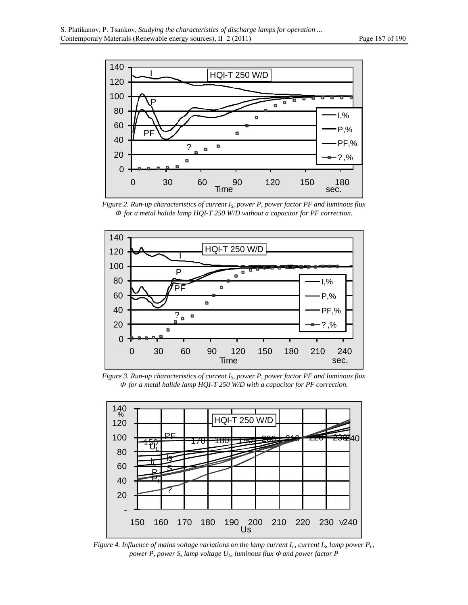

*Figure 2. Run-up characteristics of current IS, power P, power factor PF and luminous flux for a metal halide lamp HQI-T 250 W/D without a capacitor for PF correction.* 



*Figure 3. Run-up characteristics of current IS, power P, power factor PF and luminous flux for a metal halide lamp HQI-T 250 W/D with a capacitor for PF correction.* 



*Figure 4. Influence of mains voltage variations on the lamp current*  $I_L$ *, current*  $I_S$ *, lamp power*  $P_L$ *, power P, power S, lamp voltage*  $U_L$ *, luminous flux*  $\Phi$  *and power factor P*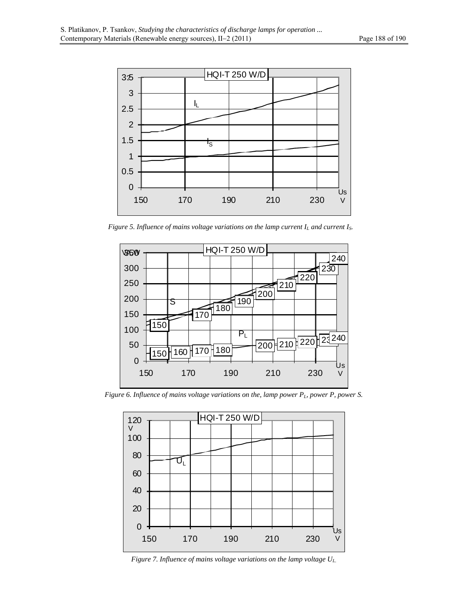

*Figure 5. Influence of mains voltage variations on the lamp current*  $I_L$  *and current*  $I_S$ *.* 



*Figure 6. Influence of mains voltage variations on the, lamp power P<sub>L</sub>, power P, power S.* 



*Figure 7. Influence of mains voltage variations on the lamp voltage UL.*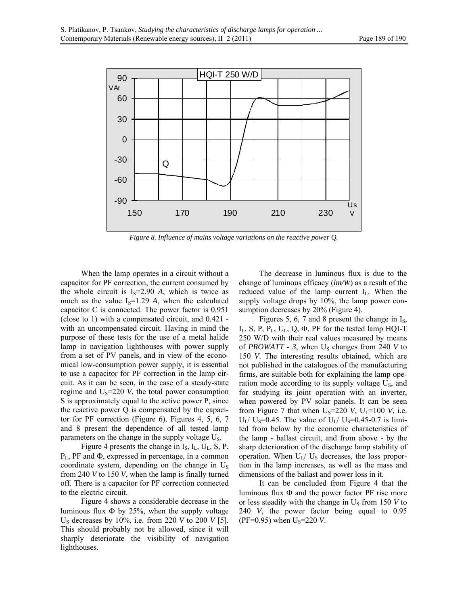

*Figure 8. Influence of mains voltage variations on the reactive power Q.*

When the lamp operates in a circuit without a capacitor for PF correction, the current consumed by the whole circuit is  $I_s = 2.90$  *A*, which is twice as much as the value  $I_s=1.29$  *A*, when the calculated capacitor C is connected. The power factor is 0.951 (close to 1) with a compensated circuit, and 0.421 with an uncompensated circuit. Having in mind the purpose of these tests for the use of a metal halide lamp in navigation lighthouses with power supply from a set of PV panels, and in view of the economical low-consumption power supply, it is essential to use a capacitor for PF correction in the lamp circuit. As it can be seen, in the case of a steady-state regime and  $U_s = 220$  *V*, the total power consumption S is approximately equal to the active power P, since the reactive power Q is compensated by the capacitor for PF correction (Figure 6). Figures 4, 5, 6, 7 and 8 present the dependence of all tested lamp parameters on the change in the supply voltage US.

Figure 4 presents the change in  $I_S$ ,  $I_L$ ,  $U_L$ , S, P,  $P_L$ , PF and  $\Phi$ , expressed in percentage, in a common coordinate system, depending on the change in  $U_s$ from 240 *V* to 150 *V*, when the lamp is finally turned off. There is a capacitor for PF correction connected to the electric circuit.

Figure 4 shows a considerable decrease in the luminous flux  $\Phi$  by 25%, when the supply voltage US decreases by 10%, i.e. from 220 *V* to 200 *V* [5]. This should probably not be allowed, since it will sharply deteriorate the visibility of navigation lighthouses.

The decrease in luminous flux is due to the change of luminous efficacy (*lm/W*) as a result of the reduced value of the lamp current  $I_L$ . When the supply voltage drops by 10%, the lamp power consumption decreases by 20% (Figure 4).

Figures 5, 6, 7 and 8 present the change in  $I_s$ ,  $I_L$ , S, P,  $P_L$ , U<sub>L</sub>, Q,  $\Phi$ , PF for the tested lamp HQI-T 250 W/D with their real values measured by means of *PROWATT* - 3, when  $U_s$  changes from 240 *V* to 150 *V*. The interesting results obtained, which are not published in the catalogues of the manufacturing firms, are suitable both for explaining the lamp operation mode according to its supply voltage  $U_s$ , and for studying its joint operation with an inverter, when powered by PV solar panels. It can be seen from Figure 7 that when  $U_s$ =220 *V*,  $U_L$ =100 *V*, i.e.  $U_L$ /  $U_S$ =0.45. The value of  $U_L$ /  $U_S$ =0.45-0.7 is limited from below by the economic characteristics of the lamp - ballast circuit, and from above - by the sharp deterioration of the discharge lamp stability of operation. When  $U_I / U_S$  decreases, the loss proportion in the lamp increases, as well as the mass and dimensions of the ballast and power loss in it.

It can be concluded from Figure 4 that the luminous flux  $\Phi$  and the power factor PF rise more or less steadily with the change in  $U_s$  from 150 *V* to 240 *V*, the power factor being equal to 0.95 (PF=0.95) when  $U_s$ =220 *V*.